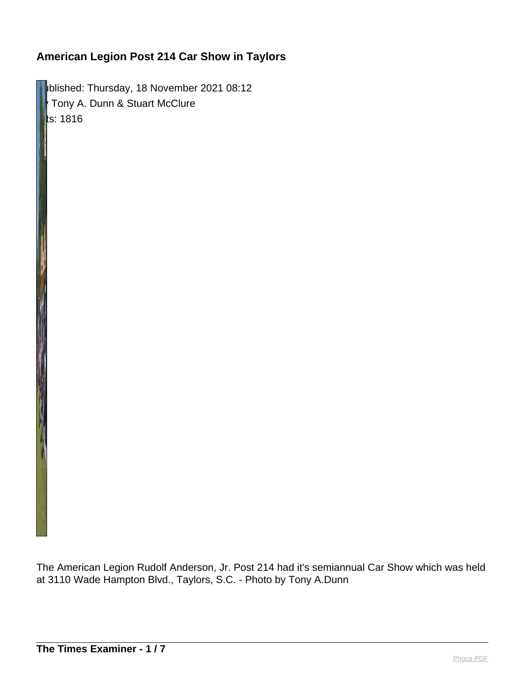**IDURISHED: Thursday, 18 November 2021 08:12** Tony A. Dunn & Stuart McClure  $\|$ ts: 1816

The American Legion Rudolf Anderson, Jr. Post 214 had it's semiannual Car Show which was held at 3110 Wade Hampton Blvd., Taylors, S.C. - Photo by Tony A.Dunn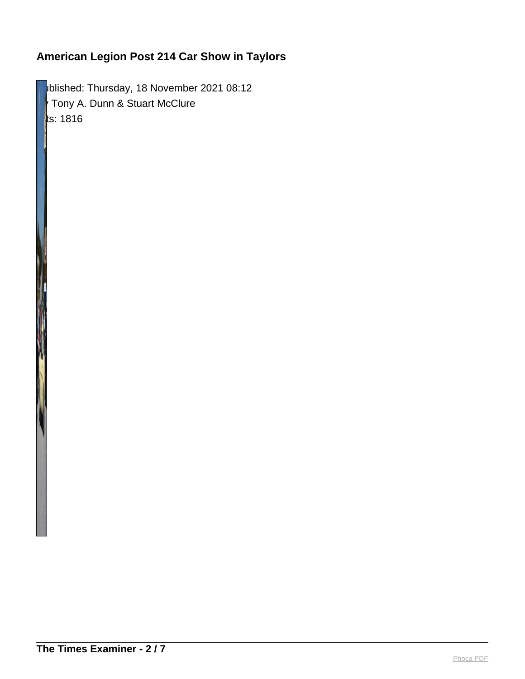blished: Thursday, 18 November 2021 08:12 Tony A. Dunn & Stuart McClure  $\parallel$ ts: 1816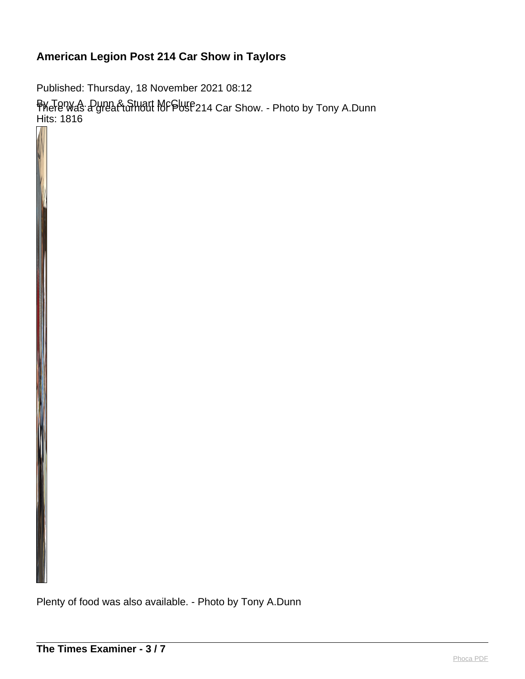Published: Thursday, 18 November 2021 08:12 By Tony A. Dunn & Stuart McClure There was a great turnout for Post 214 Car Show. - Photo by Tony A.Dunn Hits: 1816

Plenty of food was also available. - Photo by Tony A.Dunn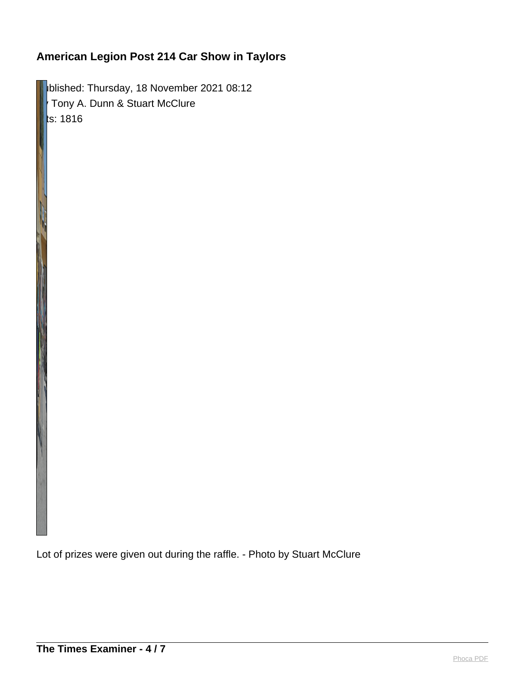**Published: Thursday, 18 November 2021 08:12** By Tony A. Dunn & Stuart McClure  $ts: 1816$ 

Lot of prizes were given out during the raffle. - Photo by Stuart McClure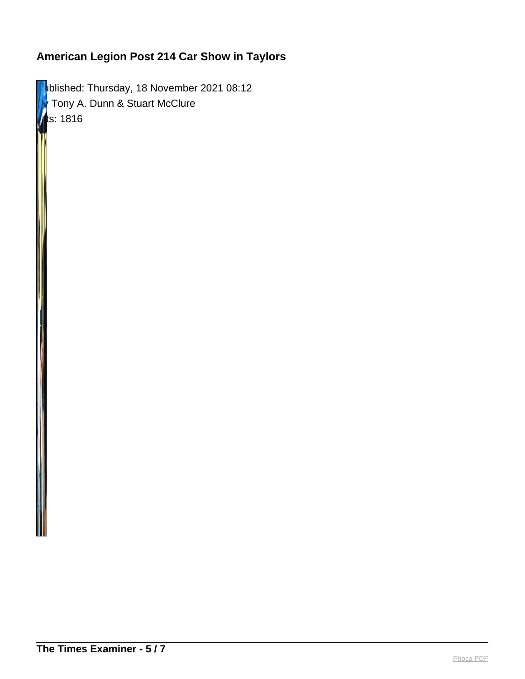**Published: Thursday, 18 November 2021 08:12 F** Tony A. Dunn & Stuart McClure  $ts: 1816$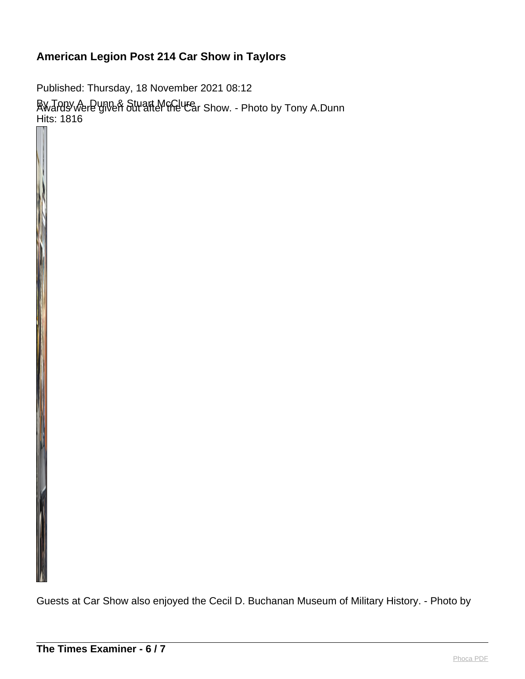Published: Thursday, 18 November 2021 08:12 By Tony A. Dunn & Stuart McClure Awards were given out after the Car Show. - Photo by Tony A.Dunn Hits: 1816